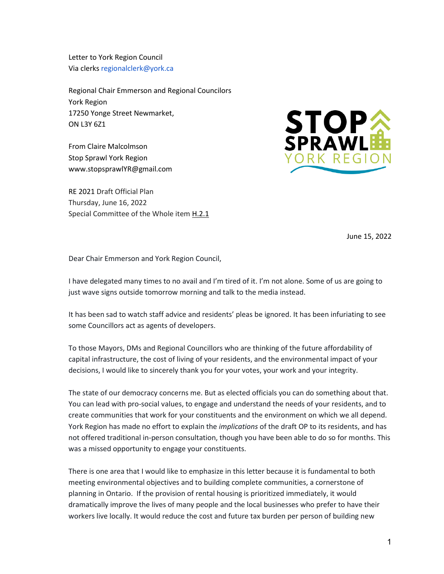Letter to York Region Council Via clerks regionalclerk@york.ca

Regional Chair Emmerson and Regional Councilors York Region 17250 Yonge Street Newmarket, ON L3Y 6Z1

From Claire Malcolmson Stop Sprawl York Region www.stopsprawlYR@gmail.com

RE 2021 Draft Official Plan Thursday, June 16, 2022 Special Committee of the Whole ite[m H.2.1](https://yorkpublishing.escribemeetings.com/Meeting.aspx?Id=cab4d8c6-f441-4d6d-9901-ae3985756d62&Agenda=Agenda&lang=English)



June 15, 2022

Dear Chair Emmerson and York Region Council,

I have delegated many times to no avail and I'm tired of it. I'm not alone. Some of us are going to just wave signs outside tomorrow morning and talk to the media instead.

It has been sad to watch staff advice and residents' pleas be ignored. It has been infuriating to see some Councillors act as agents of developers.

To those Mayors, DMs and Regional Councillors who are thinking of the future affordability of capital infrastructure, the cost of living of your residents, and the environmental impact of your decisions, I would like to sincerely thank you for your votes, your work and your integrity.

The state of our democracy concerns me. But as elected officials you can do something about that. You can lead with pro-social values, to engage and understand the needs of your residents, and to create communities that work for your constituents and the environment on which we all depend. York Region has made no effort to explain the *implications* of the draft OP to its residents, and has not offered traditional in-person consultation, though you have been able to do so for months. This was a missed opportunity to engage your constituents.

There is one area that I would like to emphasize in this letter because it is fundamental to both meeting environmental objectives and to building complete communities, a cornerstone of planning in Ontario. If the provision of rental housing is prioritized immediately, it would dramatically improve the lives of many people and the local businesses who prefer to have their workers live locally. It would reduce the cost and future tax burden per person of building new